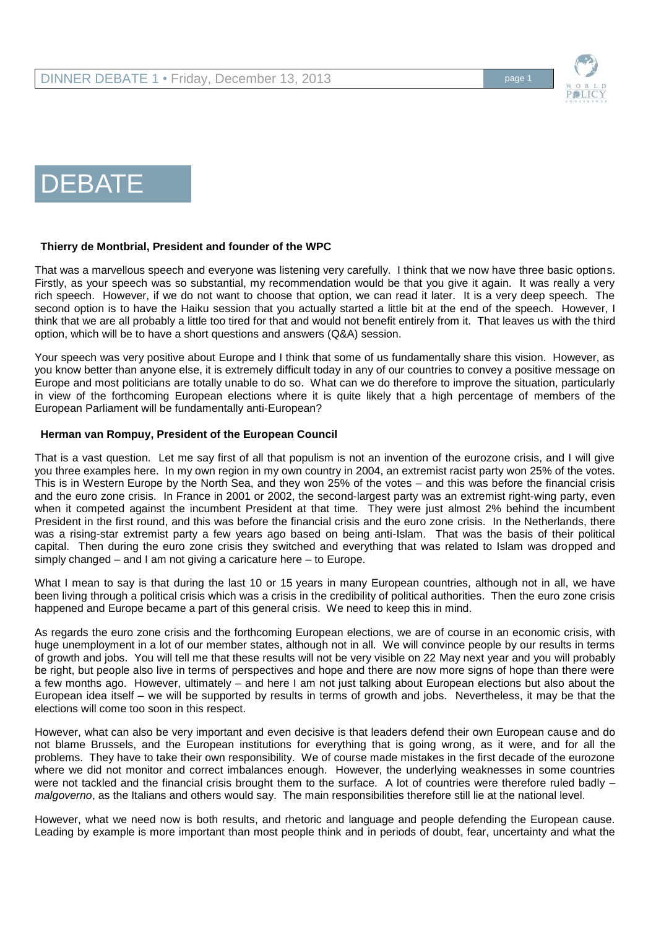

# **DEBATE**

## **Thierry de Montbrial, President and founder of the WPC**

That was a marvellous speech and everyone was listening very carefully. I think that we now have three basic options. Firstly, as your speech was so substantial, my recommendation would be that you give it again. It was really a very rich speech. However, if we do not want to choose that option, we can read it later. It is a very deep speech. The second option is to have the Haiku session that you actually started a little bit at the end of the speech. However, I think that we are all probably a little too tired for that and would not benefit entirely from it. That leaves us with the third option, which will be to have a short questions and answers (Q&A) session.

Your speech was very positive about Europe and I think that some of us fundamentally share this vision. However, as you know better than anyone else, it is extremely difficult today in any of our countries to convey a positive message on Europe and most politicians are totally unable to do so. What can we do therefore to improve the situation, particularly in view of the forthcoming European elections where it is quite likely that a high percentage of members of the European Parliament will be fundamentally anti-European?

### **Herman van Rompuy, President of the European Council**

That is a vast question. Let me say first of all that populism is not an invention of the eurozone crisis, and I will give you three examples here. In my own region in my own country in 2004, an extremist racist party won 25% of the votes. This is in Western Europe by the North Sea, and they won 25% of the votes – and this was before the financial crisis and the euro zone crisis. In France in 2001 or 2002, the second-largest party was an extremist right-wing party, even when it competed against the incumbent President at that time. They were just almost 2% behind the incumbent President in the first round, and this was before the financial crisis and the euro zone crisis. In the Netherlands, there was a rising-star extremist party a few years ago based on being anti-Islam. That was the basis of their political capital. Then during the euro zone crisis they switched and everything that was related to Islam was dropped and simply changed – and I am not giving a caricature here – to Europe.

What I mean to say is that during the last 10 or 15 years in many European countries, although not in all, we have been living through a political crisis which was a crisis in the credibility of political authorities. Then the euro zone crisis happened and Europe became a part of this general crisis. We need to keep this in mind.

As regards the euro zone crisis and the forthcoming European elections, we are of course in an economic crisis, with huge unemployment in a lot of our member states, although not in all. We will convince people by our results in terms of growth and jobs. You will tell me that these results will not be very visible on 22 May next year and you will probably be right, but people also live in terms of perspectives and hope and there are now more signs of hope than there were a few months ago. However, ultimately – and here I am not just talking about European elections but also about the European idea itself – we will be supported by results in terms of growth and jobs. Nevertheless, it may be that the elections will come too soon in this respect.

However, what can also be very important and even decisive is that leaders defend their own European cause and do not blame Brussels, and the European institutions for everything that is going wrong, as it were, and for all the problems. They have to take their own responsibility. We of course made mistakes in the first decade of the eurozone where we did not monitor and correct imbalances enough. However, the underlying weaknesses in some countries were not tackled and the financial crisis brought them to the surface. A lot of countries were therefore ruled badly – *malgoverno*, as the Italians and others would say. The main responsibilities therefore still lie at the national level.

However, what we need now is both results, and rhetoric and language and people defending the European cause. Leading by example is more important than most people think and in periods of doubt, fear, uncertainty and what the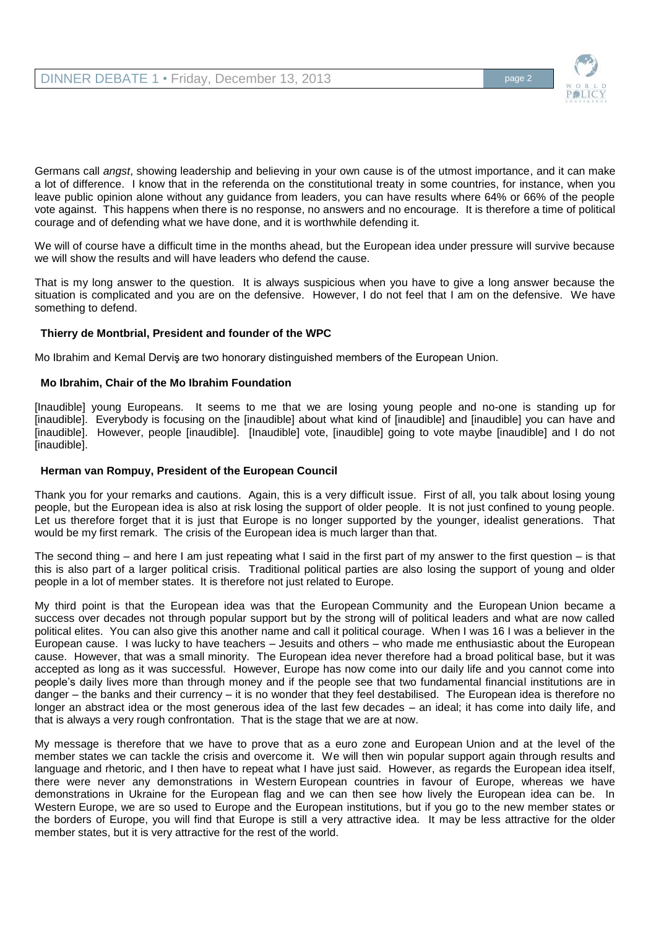

Germans call *angst*, showing leadership and believing in your own cause is of the utmost importance, and it can make a lot of difference. I know that in the referenda on the constitutional treaty in some countries, for instance, when you leave public opinion alone without any guidance from leaders, you can have results where 64% or 66% of the people vote against. This happens when there is no response, no answers and no encourage. It is therefore a time of political courage and of defending what we have done, and it is worthwhile defending it.

We will of course have a difficult time in the months ahead, but the European idea under pressure will survive because we will show the results and will have leaders who defend the cause.

That is my long answer to the question. It is always suspicious when you have to give a long answer because the situation is complicated and you are on the defensive. However, I do not feel that I am on the defensive. We have something to defend.

## **Thierry de Montbrial, President and founder of the WPC**

Mo Ibrahim and Kemal Derviş are two honorary distinguished members of the European Union.

## **Mo Ibrahim, Chair of the Mo Ibrahim Foundation**

[Inaudible] young Europeans. It seems to me that we are losing young people and no-one is standing up for [inaudible]. Everybody is focusing on the [inaudible] about what kind of [inaudible] and [inaudible] you can have and [inaudible]. However, people [inaudible]. [Inaudible] vote, [inaudible] going to vote maybe [inaudible] and I do not [inaudible].

## **Herman van Rompuy, President of the European Council**

Thank you for your remarks and cautions. Again, this is a very difficult issue. First of all, you talk about losing young people, but the European idea is also at risk losing the support of older people. It is not just confined to young people. Let us therefore forget that it is just that Europe is no longer supported by the younger, idealist generations. That would be my first remark. The crisis of the European idea is much larger than that.

The second thing – and here I am just repeating what I said in the first part of my answer to the first question – is that this is also part of a larger political crisis. Traditional political parties are also losing the support of young and older people in a lot of member states. It is therefore not just related to Europe.

My third point is that the European idea was that the European Community and the European Union became a success over decades not through popular support but by the strong will of political leaders and what are now called political elites. You can also give this another name and call it political courage. When I was 16 I was a believer in the European cause. I was lucky to have teachers – Jesuits and others – who made me enthusiastic about the European cause. However, that was a small minority. The European idea never therefore had a broad political base, but it was accepted as long as it was successful. However, Europe has now come into our daily life and you cannot come into people's daily lives more than through money and if the people see that two fundamental financial institutions are in danger – the banks and their currency – it is no wonder that they feel destabilised. The European idea is therefore no longer an abstract idea or the most generous idea of the last few decades – an ideal; it has come into daily life, and that is always a very rough confrontation. That is the stage that we are at now.

My message is therefore that we have to prove that as a euro zone and European Union and at the level of the member states we can tackle the crisis and overcome it. We will then win popular support again through results and language and rhetoric, and I then have to repeat what I have just said. However, as regards the European idea itself, there were never any demonstrations in Western European countries in favour of Europe, whereas we have demonstrations in Ukraine for the European flag and we can then see how lively the European idea can be. In Western Europe, we are so used to Europe and the European institutions, but if you go to the new member states or the borders of Europe, you will find that Europe is still a very attractive idea. It may be less attractive for the older member states, but it is very attractive for the rest of the world.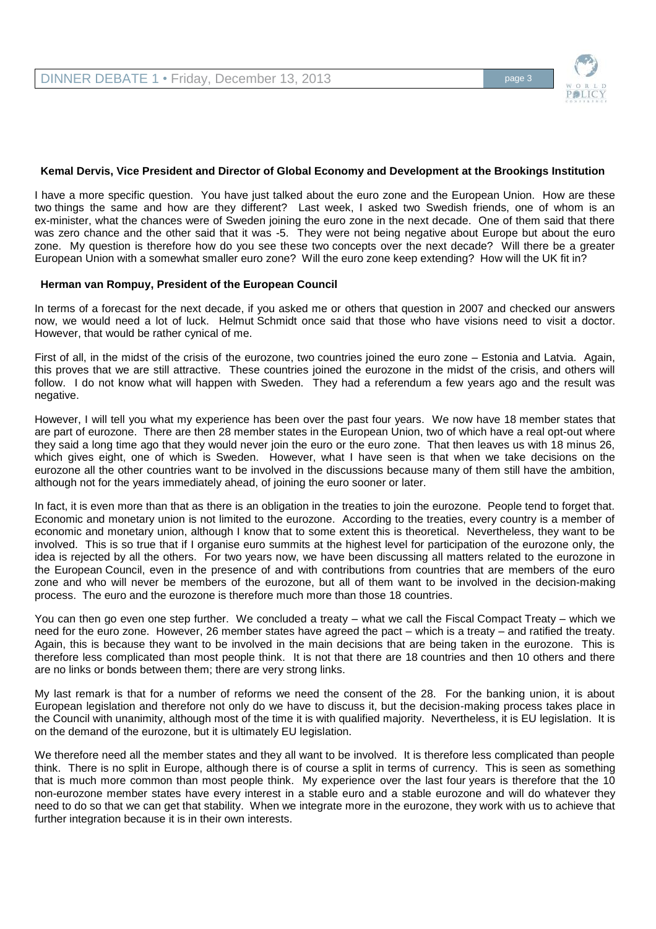

#### **Kemal Dervis, Vice President and Director of Global Economy and Development at the Brookings Institution**

I have a more specific question. You have just talked about the euro zone and the European Union. How are these two things the same and how are they different? Last week, I asked two Swedish friends, one of whom is an ex-minister, what the chances were of Sweden joining the euro zone in the next decade. One of them said that there was zero chance and the other said that it was -5. They were not being negative about Europe but about the euro zone. My question is therefore how do you see these two concepts over the next decade? Will there be a greater European Union with a somewhat smaller euro zone? Will the euro zone keep extending? How will the UK fit in?

#### **Herman van Rompuy, President of the European Council**

In terms of a forecast for the next decade, if you asked me or others that question in 2007 and checked our answers now, we would need a lot of luck. Helmut Schmidt once said that those who have visions need to visit a doctor. However, that would be rather cynical of me.

First of all, in the midst of the crisis of the eurozone, two countries joined the euro zone – Estonia and Latvia. Again, this proves that we are still attractive. These countries joined the eurozone in the midst of the crisis, and others will follow. I do not know what will happen with Sweden. They had a referendum a few years ago and the result was negative.

However, I will tell you what my experience has been over the past four years. We now have 18 member states that are part of eurozone. There are then 28 member states in the European Union, two of which have a real opt-out where they said a long time ago that they would never join the euro or the euro zone. That then leaves us with 18 minus 26, which gives eight, one of which is Sweden. However, what I have seen is that when we take decisions on the eurozone all the other countries want to be involved in the discussions because many of them still have the ambition, although not for the years immediately ahead, of joining the euro sooner or later.

In fact, it is even more than that as there is an obligation in the treaties to join the eurozone. People tend to forget that. Economic and monetary union is not limited to the eurozone. According to the treaties, every country is a member of economic and monetary union, although I know that to some extent this is theoretical. Nevertheless, they want to be involved. This is so true that if I organise euro summits at the highest level for participation of the eurozone only, the idea is rejected by all the others. For two years now, we have been discussing all matters related to the eurozone in the European Council, even in the presence of and with contributions from countries that are members of the euro zone and who will never be members of the eurozone, but all of them want to be involved in the decision-making process. The euro and the eurozone is therefore much more than those 18 countries.

You can then go even one step further. We concluded a treaty – what we call the Fiscal Compact Treaty – which we need for the euro zone. However, 26 member states have agreed the pact – which is a treaty – and ratified the treaty. Again, this is because they want to be involved in the main decisions that are being taken in the eurozone. This is therefore less complicated than most people think. It is not that there are 18 countries and then 10 others and there are no links or bonds between them; there are very strong links.

My last remark is that for a number of reforms we need the consent of the 28. For the banking union, it is about European legislation and therefore not only do we have to discuss it, but the decision-making process takes place in the Council with unanimity, although most of the time it is with qualified majority. Nevertheless, it is EU legislation. It is on the demand of the eurozone, but it is ultimately EU legislation.

We therefore need all the member states and they all want to be involved. It is therefore less complicated than people think. There is no split in Europe, although there is of course a split in terms of currency. This is seen as something that is much more common than most people think. My experience over the last four years is therefore that the 10 non-eurozone member states have every interest in a stable euro and a stable eurozone and will do whatever they need to do so that we can get that stability. When we integrate more in the eurozone, they work with us to achieve that further integration because it is in their own interests.